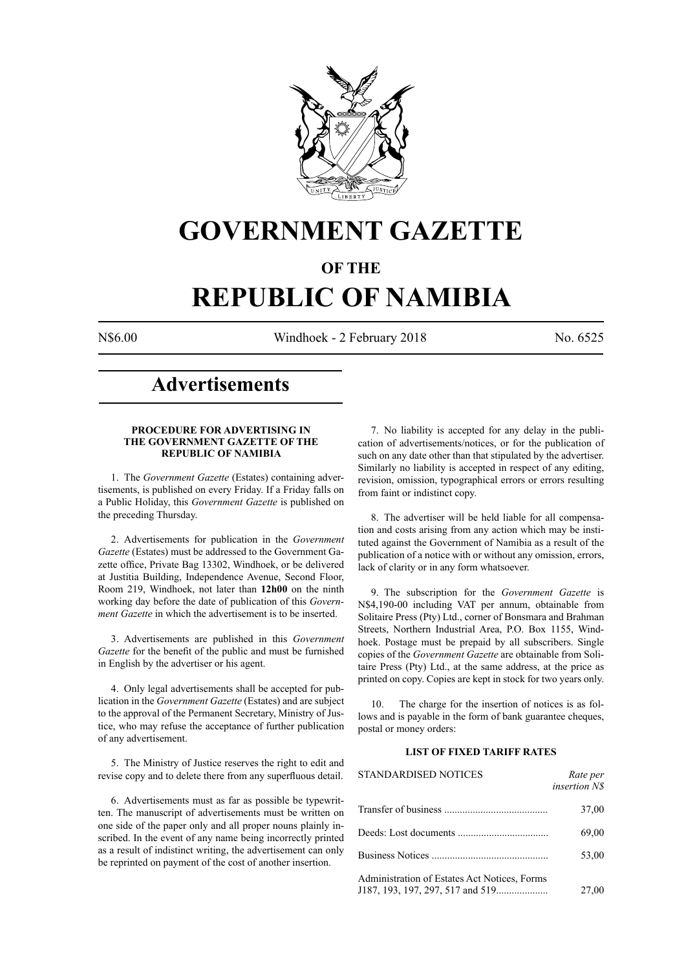

## **GOVERNMENT GAZETTE**

### **OF THE**

# **REPUBLIC OF NAMIBIA**

N\$6.00 Windhoek - 2 February 2018 No. 6525

### **Advertisements**

#### **PROCEDURE FOR ADVERTISING IN THE GOVERNMENT GAZETTE OF THE REPUBLIC OF NAMIBIA**

1. The *Government Gazette* (Estates) containing advertisements, is published on every Friday. If a Friday falls on a Public Holiday, this *Government Gazette* is published on the preceding Thursday.

2. Advertisements for publication in the *Government Gazette* (Estates) must be addressed to the Government Gazette office, Private Bag 13302, Windhoek, or be delivered at Justitia Building, Independence Avenue, Second Floor, Room 219, Windhoek, not later than **12h00** on the ninth working day before the date of publication of this *Government Gazette* in which the advertisement is to be inserted.

3. Advertisements are published in this *Government Gazette* for the benefit of the public and must be furnished in English by the advertiser or his agent.

4. Only legal advertisements shall be accepted for publication in the *Government Gazette* (Estates) and are subject to the approval of the Permanent Secretary, Ministry of Justice, who may refuse the acceptance of further publication of any advertisement.

5. The Ministry of Justice reserves the right to edit and revise copy and to delete there from any superfluous detail.

6. Advertisements must as far as possible be typewritten. The manuscript of advertisements must be written on one side of the paper only and all proper nouns plainly inscribed. In the event of any name being incorrectly printed as a result of indistinct writing, the advertisement can only be reprinted on payment of the cost of another insertion.

7. No liability is accepted for any delay in the publication of advertisements/notices, or for the publication of such on any date other than that stipulated by the advertiser. Similarly no liability is accepted in respect of any editing, revision, omission, typographical errors or errors resulting from faint or indistinct copy.

8. The advertiser will be held liable for all compensation and costs arising from any action which may be instituted against the Government of Namibia as a result of the publication of a notice with or without any omission, errors, lack of clarity or in any form whatsoever.

9. The subscription for the *Government Gazette* is N\$4,190-00 including VAT per annum, obtainable from Solitaire Press (Pty) Ltd., corner of Bonsmara and Brahman Streets, Northern Industrial Area, P.O. Box 1155, Windhoek. Postage must be prepaid by all subscribers. Single copies of the *Government Gazette* are obtainable from Solitaire Press (Pty) Ltd., at the same address, at the price as printed on copy. Copies are kept in stock for two years only.

10. The charge for the insertion of notices is as follows and is payable in the form of bank guarantee cheques, postal or money orders:

#### **LIST OF FIXED TARIFF RATES**

| <b>STANDARDISED NOTICES</b>                  | Rate per<br><i>insertion NS</i> |
|----------------------------------------------|---------------------------------|
|                                              | 37,00                           |
|                                              | 69,00                           |
|                                              | 53,00                           |
| Administration of Estates Act Notices, Forms | 27,00                           |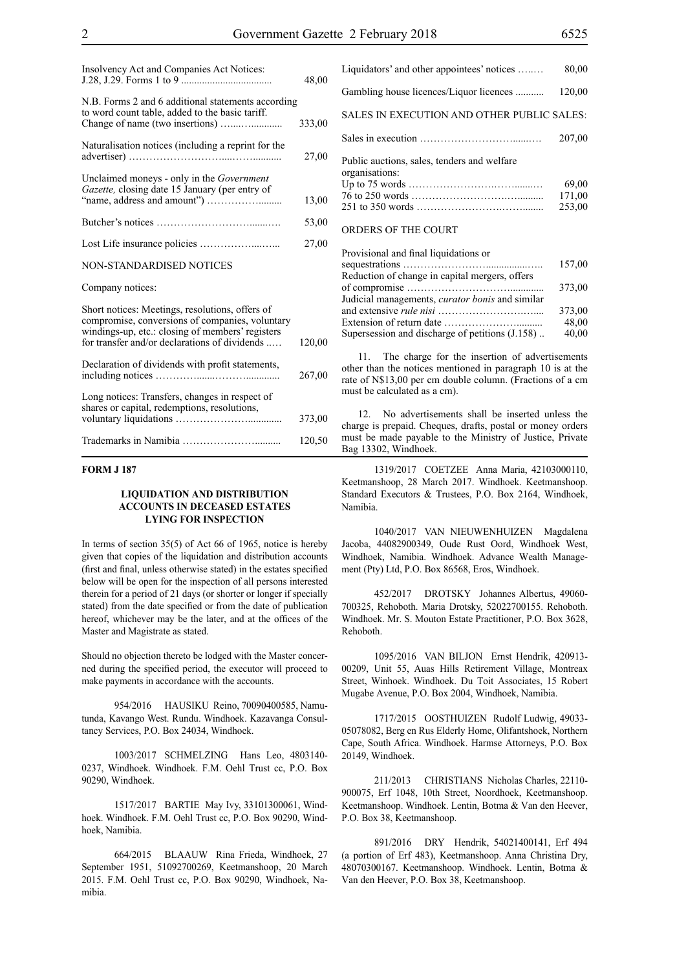| Insolvency Act and Companies Act Notices:                                                                                                                                                               | 48,00  |
|---------------------------------------------------------------------------------------------------------------------------------------------------------------------------------------------------------|--------|
| N.B. Forms 2 and 6 additional statements according<br>to word count table, added to the basic tariff.                                                                                                   | 333,00 |
| Naturalisation notices (including a reprint for the                                                                                                                                                     | 27,00  |
| Unclaimed moneys - only in the <i>Government</i><br>Gazette, closing date 15 January (per entry of                                                                                                      | 13,00  |
|                                                                                                                                                                                                         | 53,00  |
|                                                                                                                                                                                                         | 27,00  |
| NON-STANDARDISED NOTICES                                                                                                                                                                                |        |
| Company notices:                                                                                                                                                                                        |        |
| Short notices: Meetings, resolutions, offers of<br>compromise, conversions of companies, voluntary<br>windings-up, etc.: closing of members' registers<br>for transfer and/or declarations of dividends | 120,00 |
| Declaration of dividends with profit statements,                                                                                                                                                        | 267,00 |
| Long notices: Transfers, changes in respect of<br>shares or capital, redemptions, resolutions,                                                                                                          | 373,00 |
|                                                                                                                                                                                                         | 120,50 |

#### **FORM J 187**

#### **LIQUIDATION AND DISTRIBUTION ACCOUNTS IN DECEASED ESTATES LYING FOR INSPECTION**

In terms of section 35(5) of Act 66 of 1965, notice is hereby given that copies of the liquidation and distribution accounts (first and final, unless otherwise stated) in the estates specified below will be open for the inspection of all persons interested therein for a period of 21 days (or shorter or longer if specially stated) from the date specified or from the date of publication hereof, whichever may be the later, and at the offices of the Master and Magistrate as stated.

Should no objection thereto be lodged with the Master concerned during the specified period, the executor will proceed to make payments in accordance with the accounts.

954/2016 HAUSIKU Reino, 70090400585, Namutunda, Kavango West. Rundu. Windhoek. Kazavanga Consultancy Services, P.O. Box 24034, Windhoek.

1003/2017 SCHMELZING Hans Leo, 4803140- 0237, Windhoek. Windhoek. F.M. Oehl Trust cc, P.O. Box 90290, Windhoek.

1517/2017 BARTIE May Ivy, 33101300061, Windhoek. Windhoek. F.M. Oehl Trust cc, P.O. Box 90290, Windhoek, Namibia.

664/2015 BLAAUW Rina Frieda, Windhoek, 27 September 1951, 51092700269, Keetmanshoop, 20 March 2015. F.M. Oehl Trust cc, P.O. Box 90290, Windhoek, Namibia.

| Liquidators' and other appointees' notices                    | 80,00                     |
|---------------------------------------------------------------|---------------------------|
| Gambling house licences/Liquor licences                       | 120,00                    |
| SALES IN EXECUTION AND OTHER PUBLIC SALES:                    |                           |
|                                                               | 207,00                    |
| Public auctions, sales, tenders and welfare<br>organisations: | 69,00<br>171,00<br>253,00 |
| ORDERS OF THE COURT                                           |                           |

| Provisional and final liquidations or                  |        |
|--------------------------------------------------------|--------|
|                                                        | 157,00 |
| Reduction of change in capital mergers, offers         |        |
|                                                        | 373,00 |
| Judicial managements, <i>curator bonis</i> and similar |        |
|                                                        | 373,00 |
|                                                        | 48,00  |
| Supersession and discharge of petitions (J.158)        | 40,00  |
|                                                        |        |

11. The charge for the insertion of advertisements other than the notices mentioned in paragraph 10 is at the rate of N\$13,00 per cm double column. (Fractions of a cm must be calculated as a cm).

12. No advertisements shall be inserted unless the charge is prepaid. Cheques, drafts, postal or money orders must be made payable to the Ministry of Justice, Private Bag 13302, Windhoek.

1319/2017 COETZEE Anna Maria, 42103000110, Keetmanshoop, 28 March 2017. Windhoek. Keetmanshoop. Standard Executors & Trustees, P.O. Box 2164, Windhoek, Namibia.

1040/2017 VAN NIEUWENHUIZEN Magdalena Jacoba, 44082900349, Oude Rust Oord, Windhoek West, Windhoek, Namibia. Windhoek. Advance Wealth Management (Pty) Ltd, P.O. Box 86568, Eros, Windhoek.

452/2017 DROTSKY Johannes Albertus, 49060- 700325, Rehoboth. Maria Drotsky, 52022700155. Rehoboth. Windhoek. Mr. S. Mouton Estate Practitioner, P.O. Box 3628, Rehoboth.

1095/2016 VAN BILJON Ernst Hendrik, 420913- 00209, Unit 55, Auas Hills Retirement Village, Montreax Street, Winhoek. Windhoek. Du Toit Associates, 15 Robert Mugabe Avenue, P.O. Box 2004, Windhoek, Namibia.

1717/2015 OOSTHUIZEN Rudolf Ludwig, 49033- 05078082, Berg en Rus Elderly Home, Olifantshoek, Northern Cape, South Africa. Windhoek. Harmse Attorneys, P.O. Box 20149, Windhoek.

211/2013 CHRISTIANS Nicholas Charles, 22110- 900075, Erf 1048, 10th Street, Noordhoek, Keetmanshoop. Keetmanshoop. Windhoek. Lentin, Botma & Van den Heever, P.O. Box 38, Keetmanshoop.

891/2016 DRY Hendrik, 54021400141, Erf 494 (a portion of Erf 483), Keetmanshoop. Anna Christina Dry, 48070300167. Keetmanshoop. Windhoek. Lentin, Botma & Van den Heever, P.O. Box 38, Keetmanshoop.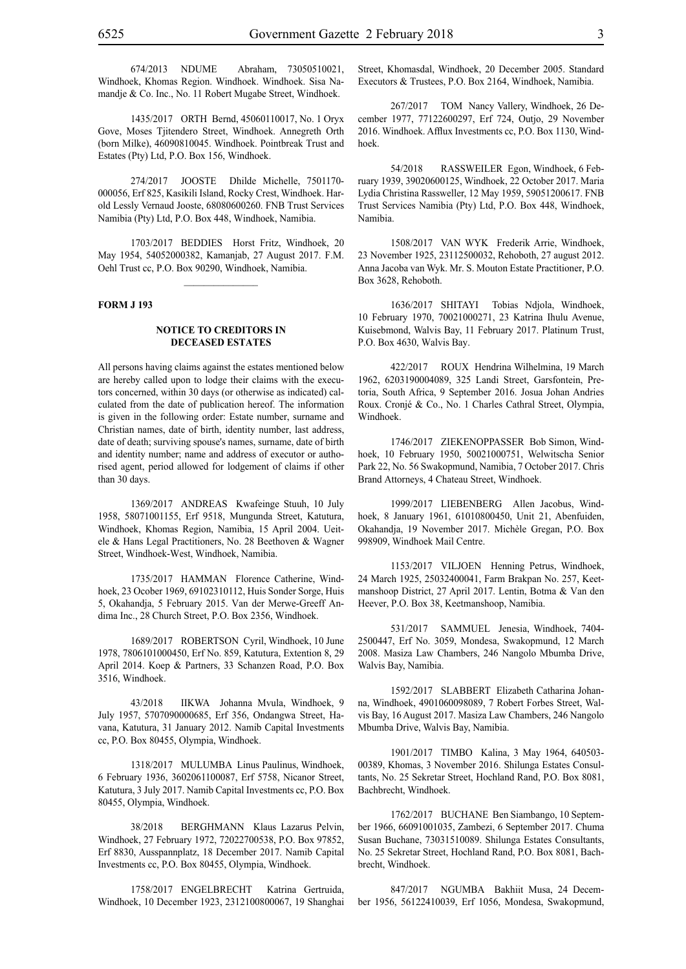674/2013 NDUME Abraham, 73050510021, Windhoek, Khomas Region. Windhoek. Windhoek. Sisa Namandje & Co. Inc., No. 11 Robert Mugabe Street, Windhoek.

1435/2017 ORTH Bernd, 45060110017, No. 1 Oryx Gove, Moses Tjitendero Street, Windhoek. Annegreth Orth (born Milke), 46090810045. Windhoek. Pointbreak Trust and Estates (Pty) Ltd, P.O. Box 156, Windhoek.

274/2017 JOOSTE Dhilde Michelle, 7501170- 000056, Erf 825, Kasikili Island, Rocky Crest, Windhoek. Harold Lessly Vernaud Jooste, 68080600260. FNB Trust Services Namibia (Pty) Ltd, P.O. Box 448, Windhoek, Namibia.

1703/2017 BEDDIES Horst Fritz, Windhoek, 20 May 1954, 54052000382, Kamanjab, 27 August 2017. F.M. Oehl Trust cc, P.O. Box 90290, Windhoek, Namibia.

 $\frac{1}{2}$ 

#### **FORM J 193**

#### **NOTICE TO CREDITORS IN DECEASED ESTATES**

All persons having claims against the estates mentioned below are hereby called upon to lodge their claims with the executors concerned, within 30 days (or otherwise as indicated) calculated from the date of publication hereof. The information is given in the following order: Estate number, surname and Christian names, date of birth, identity number, last address, date of death; surviving spouse's names, surname, date of birth and identity number; name and address of executor or authorised agent, period allowed for lodgement of claims if other than 30 days.

1369/2017 ANDREAS Kwafeinge Stuuh, 10 July 1958, 58071001155, Erf 9518, Mungunda Street, Katutura, Windhoek, Khomas Region, Namibia, 15 April 2004. Ueitele & Hans Legal Practitioners, No. 28 Beethoven & Wagner Street, Windhoek-West, Windhoek, Namibia.

1735/2017 HAMMAN Florence Catherine, Windhoek, 23 Ocober 1969, 69102310112, Huis Sonder Sorge, Huis 5, Okahandja, 5 February 2015. Van der Merwe-Greeff Andima Inc., 28 Church Street, P.O. Box 2356, Windhoek.

1689/2017 ROBERTSON Cyril, Windhoek, 10 June 1978, 7806101000450, Erf No. 859, Katutura, Extention 8, 29 April 2014. Koep & Partners, 33 Schanzen Road, P.O. Box 3516, Windhoek.

43/2018 IIKWA Johanna Mvula, Windhoek, 9 July 1957, 5707090000685, Erf 356, Ondangwa Street, Havana, Katutura, 31 January 2012. Namib Capital Investments cc, P.O. Box 80455, Olympia, Windhoek.

1318/2017 MULUMBA Linus Paulinus, Windhoek, 6 February 1936, 3602061100087, Erf 5758, Nicanor Street, Katutura, 3 July 2017. Namib Capital Investments cc, P.O. Box 80455, Olympia, Windhoek.

38/2018 BERGHMANN Klaus Lazarus Pelvin, Windhoek, 27 February 1972, 72022700538, P.O. Box 97852, Erf 8830, Ausspannplatz, 18 December 2017. Namib Capital Investments cc, P.O. Box 80455, Olympia, Windhoek.

1758/2017 ENGELBRECHT Katrina Gertruida, Windhoek, 10 December 1923, 2312100800067, 19 Shanghai Street, Khomasdal, Windhoek, 20 December 2005. Standard Executors & Trustees, P.O. Box 2164, Windhoek, Namibia.

267/2017 TOM Nancy Vallery, Windhoek, 26 December 1977, 77122600297, Erf 724, Outjo, 29 November 2016. Windhoek. Afflux Investments cc, P.O. Box 1130, Windhoek.

54/2018 RASSWEILER Egon, Windhoek, 6 February 1939, 39020600125, Windhoek, 22 October 2017. Maria Lydia Christina Rassweller, 12 May 1959, 59051200617. FNB Trust Services Namibia (Pty) Ltd, P.O. Box 448, Windhoek, Namibia.

1508/2017 VAN WYK Frederik Arrie, Windhoek, 23 November 1925, 23112500032, Rehoboth, 27 august 2012. Anna Jacoba van Wyk. Mr. S. Mouton Estate Practitioner, P.O. Box 3628, Rehoboth.

1636/2017 SHITAYI Tobias Ndjola, Windhoek, 10 February 1970, 70021000271, 23 Katrina Ihulu Avenue, Kuisebmond, Walvis Bay, 11 February 2017. Platinum Trust, P.O. Box 4630, Walvis Bay.

422/2017 ROUX Hendrina Wilhelmina, 19 March 1962, 6203190004089, 325 Landi Street, Garsfontein, Pretoria, South Africa, 9 September 2016. Josua Johan Andries Roux. Cronjé & Co., No. 1 Charles Cathral Street, Olympia, Windhoek.

1746/2017 ZIEKENOPPASSER Bob Simon, Windhoek, 10 February 1950, 50021000751, Welwitscha Senior Park 22, No. 56 Swakopmund, Namibia, 7 October 2017. Chris Brand Attorneys, 4 Chateau Street, Windhoek.

1999/2017 LIEBENBERG Allen Jacobus, Windhoek, 8 January 1961, 61010800450, Unit 21, Abenfuiden, Okahandja, 19 November 2017. Michèle Gregan, P.O. Box 998909, Windhoek Mail Centre.

1153/2017 VILJOEN Henning Petrus, Windhoek, 24 March 1925, 25032400041, Farm Brakpan No. 257, Keetmanshoop District, 27 April 2017. Lentin, Botma & Van den Heever, P.O. Box 38, Keetmanshoop, Namibia.

531/2017 SAMMUEL Jenesia, Windhoek, 7404- 2500447, Erf No. 3059, Mondesa, Swakopmund, 12 March 2008. Masiza Law Chambers, 246 Nangolo Mbumba Drive, Walvis Bay, Namibia.

1592/2017 SLABBERT Elizabeth Catharina Johanna, Windhoek, 4901060098089, 7 Robert Forbes Street, Walvis Bay, 16 August 2017. Masiza Law Chambers, 246 Nangolo Mbumba Drive, Walvis Bay, Namibia.

1901/2017 TIMBO Kalina, 3 May 1964, 640503- 00389, Khomas, 3 November 2016. Shilunga Estates Consultants, No. 25 Sekretar Street, Hochland Rand, P.O. Box 8081, Bachbrecht, Windhoek.

1762/2017 BUCHANE Ben Siambango, 10 September 1966, 66091001035, Zambezi, 6 September 2017. Chuma Susan Buchane, 73031510089. Shilunga Estates Consultants, No. 25 Sekretar Street, Hochland Rand, P.O. Box 8081, Bachbrecht, Windhoek.

847/2017 NGUMBA Bakhiit Musa, 24 December 1956, 56122410039, Erf 1056, Mondesa, Swakopmund,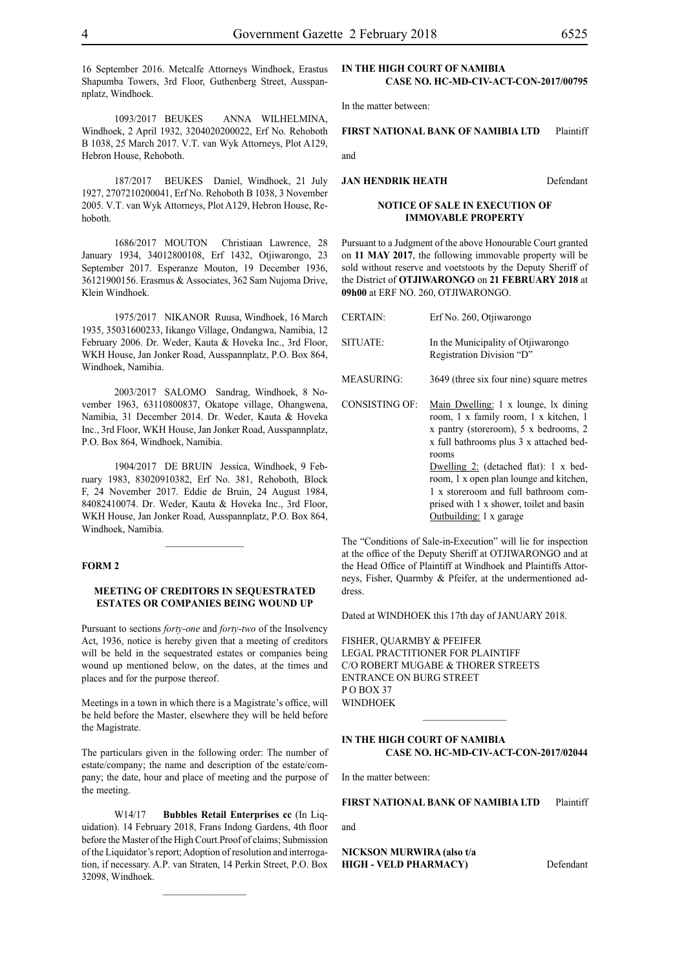16 September 2016. Metcalfe Attorneys Windhoek, Erastus Shapumba Towers, 3rd Floor, Guthenberg Street, Ausspannplatz, Windhoek.

1093/2017 BEUKES ANNA WILHELMINA, Windhoek, 2 April 1932, 3204020200022, Erf No. Rehoboth B 1038, 25 March 2017. V.T. van Wyk Attorneys, Plot A129, Hebron House, Rehoboth.

187/2017 BEUKES Daniel, Windhoek, 21 July 1927, 2707210200041, Erf No. Rehoboth B 1038, 3 November 2005. V.T. van Wyk Attorneys, Plot A129, Hebron House, Rehoboth.

1686/2017 MOUTON Christiaan Lawrence, 28 January 1934, 34012800108, Erf 1432, Otjiwarongo, 23 September 2017. Esperanze Mouton, 19 December 1936, 36121900156. Erasmus & Associates, 362 Sam Nujoma Drive, Klein Windhoek.

1975/2017 NIKANOR Ruusa, Windhoek, 16 March 1935, 35031600233, Iikango Village, Ondangwa, Namibia, 12 February 2006. Dr. Weder, Kauta & Hoveka Inc., 3rd Floor, WKH House, Jan Jonker Road, Ausspannplatz, P.O. Box 864, Windhoek, Namibia.

2003/2017 SALOMO Sandrag, Windhoek, 8 November 1963, 63110800837, Okatope village, Ohangwena, Namibia, 31 December 2014. Dr. Weder, Kauta & Hoveka Inc., 3rd Floor, WKH House, Jan Jonker Road, Ausspannplatz, P.O. Box 864, Windhoek, Namibia.

1904/2017 DE BRUIN Jessica, Windhoek, 9 February 1983, 83020910382, Erf No. 381, Rehoboth, Block F, 24 November 2017. Eddie de Bruin, 24 August 1984, 84082410074. Dr. Weder, Kauta & Hoveka Inc., 3rd Floor, WKH House, Jan Jonker Road, Ausspannplatz, P.O. Box 864, Windhoek, Namibia.

 $\frac{1}{2}$ 

#### **FORM 2**

#### **MEETING OF CREDITORS IN SEQUESTRATED ESTATES OR COMPANIES BEING WOUND UP**

Pursuant to sections *forty-one* and *forty-two* of the Insolvency Act, 1936, notice is hereby given that a meeting of creditors will be held in the sequestrated estates or companies being wound up mentioned below, on the dates, at the times and places and for the purpose thereof.

Meetings in a town in which there is a Magistrate's office, will be held before the Master, elsewhere they will be held before the Magistrate.

The particulars given in the following order: The number of estate/company; the name and description of the estate/company; the date, hour and place of meeting and the purpose of the meeting.

W14/17 **Bubbles Retail Enterprises cc** (In Liquidation). 14 February 2018, Frans Indong Gardens, 4th floor before the Master of the High Court.Proof of claims; Submission of the Liquidator's report; Adoption of resolution and interrogation, if necessary. A.P. van Straten, 14 Perkin Street, P.O. Box 32098, Windhoek.

In the matter between:

**FIRST NATIONAL BANK OF NAMIBIA LTD** Plaintiff

and

#### **JAN HENDRIK HEATH** Defendant

**NOTICE OF SALE IN EXECUTION OF IMMOVABLE PROPERTY**

Pursuant to a Judgment of the above Honourable Court granted on **11 MAY 2017**, the following immovable property will be sold without reserve and voetstoots by the Deputy Sheriff of the District of **OTJIWARONGO** on **21 FEBRUARY 2018** at **09h00** at ERF NO. 260, OTJIWARONGO.

| <b>CERTAIN:</b>       | Erf No. 260, Otiiwarongo                                                                                                                                                                                                                                                                                                                                                         |
|-----------------------|----------------------------------------------------------------------------------------------------------------------------------------------------------------------------------------------------------------------------------------------------------------------------------------------------------------------------------------------------------------------------------|
| SITUATE:              | In the Municipality of Otjiwarongo<br>Registration Division "D"                                                                                                                                                                                                                                                                                                                  |
| <b>MEASURING:</b>     | 3649 (three six four nine) square metres                                                                                                                                                                                                                                                                                                                                         |
| <b>CONSISTING OF:</b> | Main Dwelling: 1 x lounge, 1x dining<br>room, 1 x family room, 1 x kitchen, 1<br>x pantry (storeroom), 5 x bedrooms, 2<br>x full bathrooms plus 3 x attached bed-<br>rooms<br>Dwelling $2$ : (detached flat): 1 x bed-<br>room, 1 x open plan lounge and kitchen,<br>1 x storeroom and full bathroom com-<br>prised with 1 x shower, toilet and basin<br>Outbuilding: 1 x garage |

The "Conditions of Sale-in-Execution" will lie for inspection at the office of the Deputy Sheriff at OTJIWARONGO and at the Head Office of Plaintiff at Windhoek and Plaintiffs Attorneys, Fisher, Quarmby & Pfeifer, at the undermentioned address.

Dated at WINDHOEK this 17th day of JANUARY 2018.

FISHER, QUARMBY & PFEIFER LEGAL PRACTITIONER FOR Plaintiff c/o Robert Mugabe & Thorer Streets entrance on Burg Street P O Box 37 **WINDHOEK** 

#### **IN THE HIGH COURT OF NAMIBIA CASE No. HC-MD-CIV-ACT-CON-2017/02044**

 $\frac{1}{2}$ 

In the matter between:

**FIRST NATIONAL BANK OF NAMIBIA LTD** Plaintiff

and

**NICKSON MURWIRA (also t/a HIGH - VELD PHARMACY)** Defendant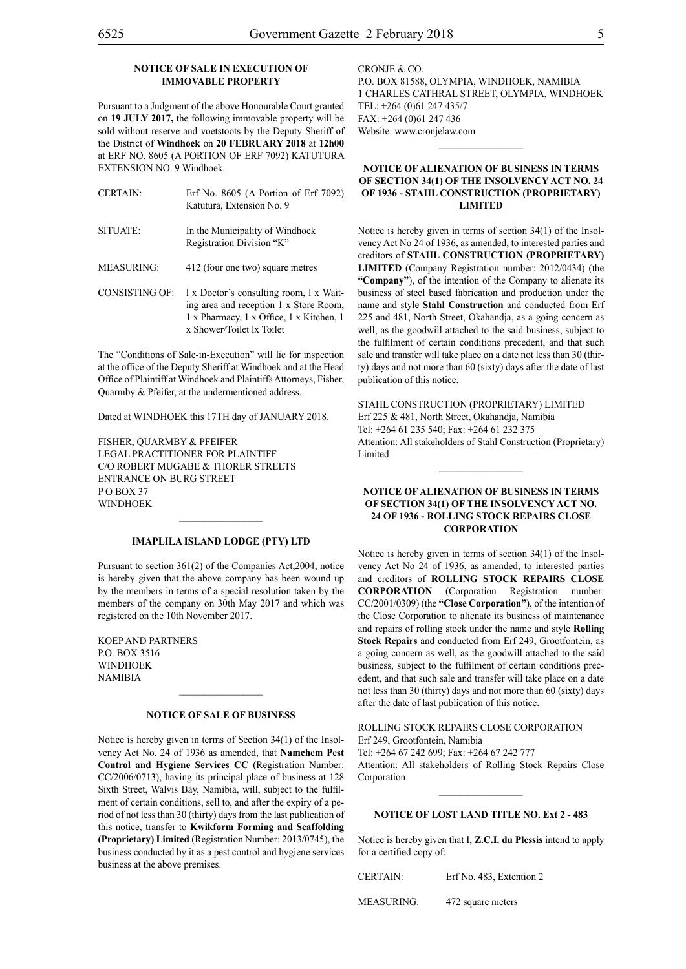#### **NOTICE OF SALE IN EXECUTION OF IMMOVABLE PROPERTY**

Pursuant to a Judgment of the above Honourable Court granted on **19 JULY 2017,** the following immovable property will be sold without reserve and voetstoots by the Deputy Sheriff of the District of **Windhoek** on **20 FEBRUARY 2018** at **12h00** at ERF NO. 8605 (A PORTION OF ERF 7092) KATUTURA EXTENSION NO. 9 Windhoek.

| <b>CERTAIN:</b> | Erf No. $8605$ (A Portion of Erf 7092)<br>Katutura, Extension No. 9  |
|-----------------|----------------------------------------------------------------------|
| SITUATE:        | In the Municipality of Windhoek<br>Registration Division "K"         |
| MEASURING:      | 412 (four one two) square metres                                     |
|                 | CONSISTING OF: $1 \times$ Doctor's consulting room, $1 \times$ Wait- |

ing area and reception 1 x Store Room, 1 x Pharmacy, 1 x Office, 1 x Kitchen, 1 x Shower/Toilet lx Toilet

The "Conditions of Sale-in-Execution" will lie for inspection at the office of the Deputy Sheriff at Windhoek and at the Head Office of Plaintiff at Windhoek and Plaintiffs Attorneys, Fisher, Quarmby & Pfeifer, at the undermentioned address.

Dated at WINDHOEK this 17TH day of JANUARY 2018.

FISHER, QUARMBY & PFEIFER LEGAL PRACTITIONER FOR Plaintiff c/o Robert Mugabe & Thorer Streets entrance on Burg Street PO BOX 37 **WINDHOEK** 

#### **IMAPLILA ISLAND LODGE (PTY) LTD**

 $\frac{1}{2}$ 

Pursuant to section 361(2) of the Companies Act,2004, notice is hereby given that the above company has been wound up by the members in terms of a special resolution taken by the members of the company on 30th May 2017 and which was registered on the 10th November 2017.

Koep and Partners P.O. Box 3516 **WINDHOEK NAMIBIA** 

#### **NOTICE OF SALE OF BUSINESS**

 $\frac{1}{2}$ 

Notice is hereby given in terms of Section 34(1) of the Insolvency Act No. 24 of 1936 as amended, that **Namchem Pest Control and Hygiene Services CC** (Registration Number: CC/2006/0713), having its principal place of business at 128 Sixth Street, Walvis Bay, Namibia, will, subject to the fulfilment of certain conditions, sell to, and after the expiry of a period of not less than 30 (thirty) days from the last publication of this notice, transfer to **Kwikform Forming and Scaffolding (Proprietary) Limited** (Registration Number: 2013/0745), the business conducted by it as a pest control and hygiene services business at the above premises.

CRONJE & CO. P.O. Box 81588, Olympia, Windhoek, Namibia 1 Charles Cathral Street, Olympia, Windhoek Tel: +264 (0)61 247 435/7 Fax: +264 (0)61 247 436 Website: www.cronjelaw.com

 $\frac{1}{2}$ 

#### **NOTICE OF ALIENATION OF BUSINESS IN TERMS OF SECTION 34(1) OF THE INSOLVENCY ACT NO. 24 OF 1936 - STAHL CONSTRUCTION (PROPRIETARY) LIMITED**

Notice is hereby given in terms of section 34(1) of the Insolvency Act No 24 of 1936, as amended, to interested parties and creditors of **STAHL CONSTRUCTION (PROPRIETARY) LIMITED** (Company Registration number: 2012/0434) (the **"Company"**), of the intention of the Company to alienate its business of steel based fabrication and production under the name and style **Stahl Construction** and conducted from Erf 225 and 481, North Street, Okahandja, as a going concern as well, as the goodwill attached to the said business, subject to the fulfilment of certain conditions precedent, and that such sale and transfer will take place on a date not less than 30 (thirty) days and not more than 60 (sixty) days after the date of last publication of this notice.

STAHL CONSTRUCTION (PROPRIETARY) LIMITED Erf 225 & 481, North Street, Okahandja, Namibia Tel: +264 61 235 540; Fax: +264 61 232 375 Attention: All stakeholders of Stahl Construction (Proprietary) Limited

 $\frac{1}{2}$ 

#### **NOTICE OF ALIENATION OF BUSINESS IN TERMS OF SECTION 34(1) OF THE INSOLVENCY ACT NO. 24 OF 1936 - ROLLING STOCK REPAIRS CLOSE CORPORATION**

Notice is hereby given in terms of section 34(1) of the Insolvency Act No 24 of 1936, as amended, to interested parties and creditors of **ROLLING STOCK REPAIRS CLOSE CORPORATION** (Corporation Registration number: CC/2001/0309) (the **"Close Corporation"**), of the intention of the Close Corporation to alienate its business of maintenance and repairs of rolling stock under the name and style **Rolling Stock Repairs** and conducted from Erf 249, Grootfontein, as a going concern as well, as the goodwill attached to the said business, subject to the fulfilment of certain conditions precedent, and that such sale and transfer will take place on a date not less than 30 (thirty) days and not more than 60 (sixty) days after the date of last publication of this notice.

#### ROLLING STOCK REPAIRS CLOSE CORPORATION

Erf 249, Grootfontein, Namibia Tel: +264 67 242 699; Fax: +264 67 242 777

Attention: All stakeholders of Rolling Stock Repairs Close Corporation

#### **NOTICE OF LOST LAND TITLE NO. Ext 2 - 483**

Notice is hereby given that I, **Z.C.I. du Plessis** intend to apply for a certified copy of:

CERTAIN: Erf No. 483, Extention 2

MEASURING: 472 square meters